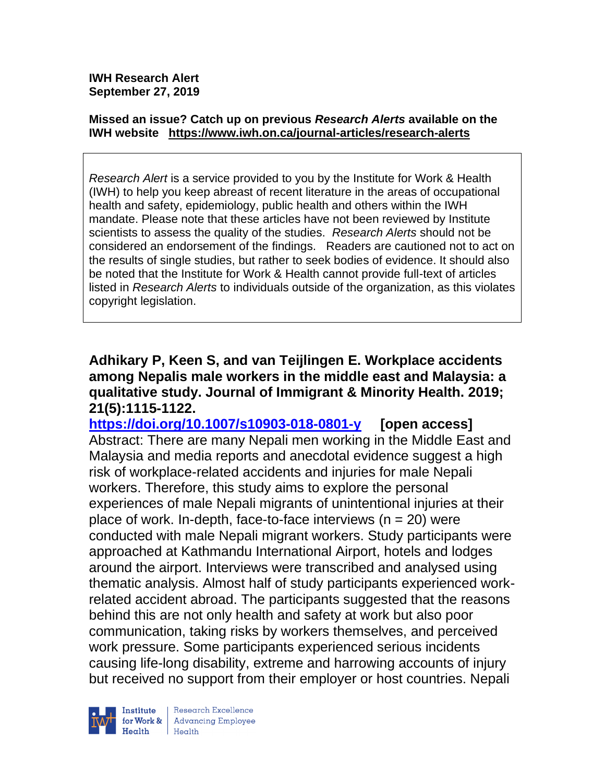#### **Missed an issue? Catch up on previous** *Research Alerts* **available on the [IWH website](http://www.iwh.on.ca/research-alerts) <https://www.iwh.on.ca/journal-articles/research-alerts>**

*Research Alert* is a service provided to you by the Institute for Work & Health (IWH) to help you keep abreast of recent literature in the areas of occupational health and safety, epidemiology, public health and others within the IWH mandate. Please note that these articles have not been reviewed by Institute scientists to assess the quality of the studies. *Research Alerts* should not be considered an endorsement of the findings. Readers are cautioned not to act on the results of single studies, but rather to seek bodies of evidence. It should also be noted that the Institute for Work & Health cannot provide full-text of articles listed in *Research Alerts* to individuals outside of the organization, as this violates copyright legislation.

**Adhikary P, Keen S, and van Teijlingen E. Workplace accidents among Nepalis male workers in the middle east and Malaysia: a qualitative study. Journal of Immigrant & Minority Health. 2019; 21(5):1115-1122.** 

**<https://doi.org/10.1007/s10903-018-0801-y> [open access]** Abstract: There are many Nepali men working in the Middle East and Malaysia and media reports and anecdotal evidence suggest a high risk of workplace-related accidents and injuries for male Nepali workers. Therefore, this study aims to explore the personal experiences of male Nepali migrants of unintentional injuries at their place of work. In-depth, face-to-face interviews ( $n = 20$ ) were conducted with male Nepali migrant workers. Study participants were approached at Kathmandu International Airport, hotels and lodges around the airport. Interviews were transcribed and analysed using thematic analysis. Almost half of study participants experienced workrelated accident abroad. The participants suggested that the reasons behind this are not only health and safety at work but also poor communication, taking risks by workers themselves, and perceived work pressure. Some participants experienced serious incidents causing life-long disability, extreme and harrowing accounts of injury but received no support from their employer or host countries. Nepali



Research Excellence for Work & | Advancing Employee Health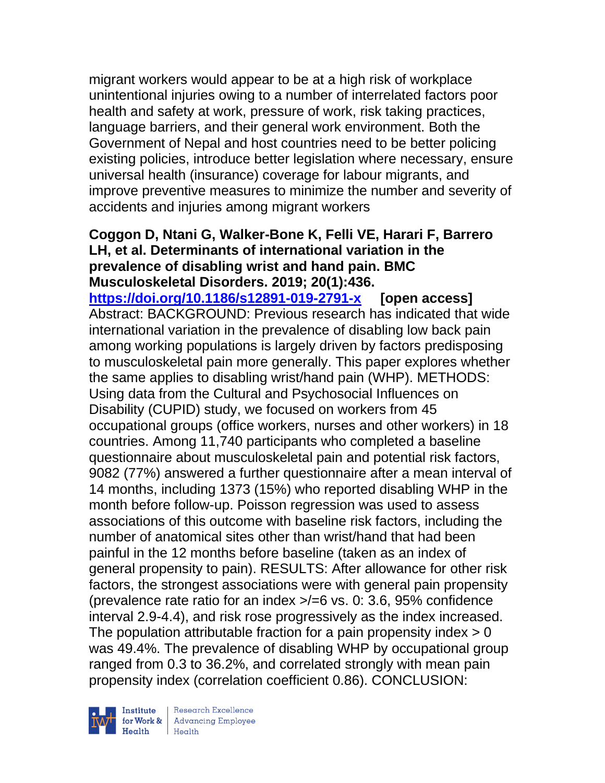migrant workers would appear to be at a high risk of workplace unintentional injuries owing to a number of interrelated factors poor health and safety at work, pressure of work, risk taking practices, language barriers, and their general work environment. Both the Government of Nepal and host countries need to be better policing existing policies, introduce better legislation where necessary, ensure universal health (insurance) coverage for labour migrants, and improve preventive measures to minimize the number and severity of accidents and injuries among migrant workers

#### **Coggon D, Ntani G, Walker-Bone K, Felli VE, Harari F, Barrero LH, et al. Determinants of international variation in the prevalence of disabling wrist and hand pain. BMC Musculoskeletal Disorders. 2019; 20(1):436.**

**<https://doi.org/10.1186/s12891-019-2791-x> [open access]** Abstract: BACKGROUND: Previous research has indicated that wide international variation in the prevalence of disabling low back pain among working populations is largely driven by factors predisposing to musculoskeletal pain more generally. This paper explores whether the same applies to disabling wrist/hand pain (WHP). METHODS: Using data from the Cultural and Psychosocial Influences on Disability (CUPID) study, we focused on workers from 45 occupational groups (office workers, nurses and other workers) in 18 countries. Among 11,740 participants who completed a baseline questionnaire about musculoskeletal pain and potential risk factors, 9082 (77%) answered a further questionnaire after a mean interval of 14 months, including 1373 (15%) who reported disabling WHP in the month before follow-up. Poisson regression was used to assess associations of this outcome with baseline risk factors, including the number of anatomical sites other than wrist/hand that had been painful in the 12 months before baseline (taken as an index of general propensity to pain). RESULTS: After allowance for other risk factors, the strongest associations were with general pain propensity (prevalence rate ratio for an index  $\ge$ /=6 vs. 0: 3.6, 95% confidence interval 2.9-4.4), and risk rose progressively as the index increased. The population attributable fraction for a pain propensity index  $> 0$ was 49.4%. The prevalence of disabling WHP by occupational group ranged from 0.3 to 36.2%, and correlated strongly with mean pain propensity index (correlation coefficient 0.86). CONCLUSION:

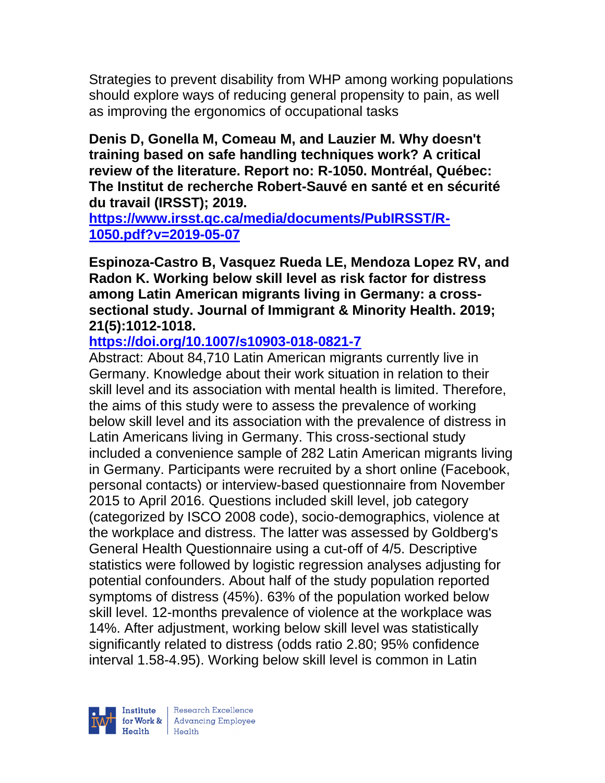Strategies to prevent disability from WHP among working populations should explore ways of reducing general propensity to pain, as well as improving the ergonomics of occupational tasks

**Denis D, Gonella M, Comeau M, and Lauzier M. Why doesn't training based on safe handling techniques work? A critical review of the literature. Report no: R-1050. Montréal, Québec: The Institut de recherche Robert-Sauvé en santé et en sécurité du travail (IRSST); 2019.** 

**[https://www.irsst.qc.ca/media/documents/PubIRSST/R-](https://www.irsst.qc.ca/media/documents/PubIRSST/R-1050.pdf?v=2019-05-07)[1050.pdf?v=2019-05-07](https://www.irsst.qc.ca/media/documents/PubIRSST/R-1050.pdf?v=2019-05-07)** 

**Espinoza-Castro B, Vasquez Rueda LE, Mendoza Lopez RV, and Radon K. Working below skill level as risk factor for distress among Latin American migrants living in Germany: a crosssectional study. Journal of Immigrant & Minority Health. 2019; 21(5):1012-1018.** 

# **<https://doi.org/10.1007/s10903-018-0821-7>**

Abstract: About 84,710 Latin American migrants currently live in Germany. Knowledge about their work situation in relation to their skill level and its association with mental health is limited. Therefore, the aims of this study were to assess the prevalence of working below skill level and its association with the prevalence of distress in Latin Americans living in Germany. This cross-sectional study included a convenience sample of 282 Latin American migrants living in Germany. Participants were recruited by a short online (Facebook, personal contacts) or interview-based questionnaire from November 2015 to April 2016. Questions included skill level, job category (categorized by ISCO 2008 code), socio-demographics, violence at the workplace and distress. The latter was assessed by Goldberg's General Health Questionnaire using a cut-off of 4/5. Descriptive statistics were followed by logistic regression analyses adjusting for potential confounders. About half of the study population reported symptoms of distress (45%). 63% of the population worked below skill level. 12-months prevalence of violence at the workplace was 14%. After adjustment, working below skill level was statistically significantly related to distress (odds ratio 2.80; 95% confidence interval 1.58-4.95). Working below skill level is common in Latin

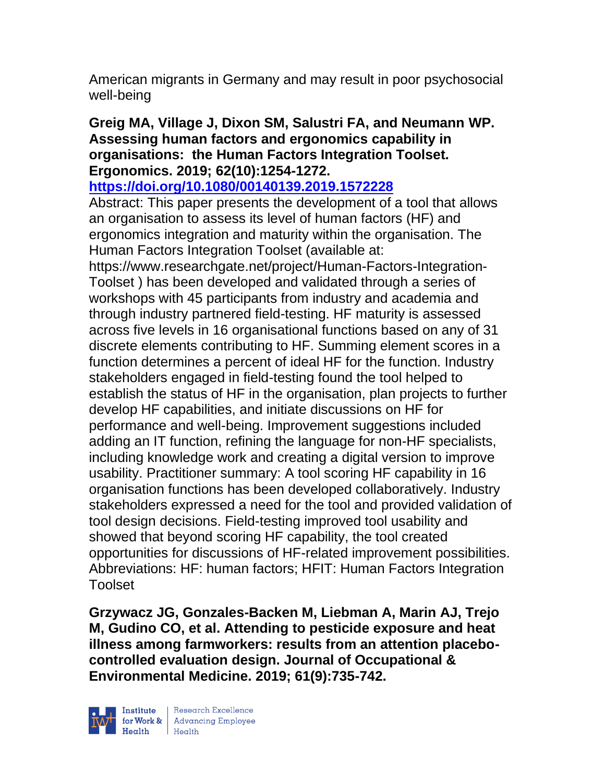American migrants in Germany and may result in poor psychosocial well-being

### **Greig MA, Village J, Dixon SM, Salustri FA, and Neumann WP. Assessing human factors and ergonomics capability in organisations: the Human Factors Integration Toolset. Ergonomics. 2019; 62(10):1254-1272.**

## **<https://doi.org/10.1080/00140139.2019.1572228>**

Abstract: This paper presents the development of a tool that allows an organisation to assess its level of human factors (HF) and ergonomics integration and maturity within the organisation. The Human Factors Integration Toolset (available at: https://www.researchgate.net/project/Human-Factors-Integration-Toolset ) has been developed and validated through a series of workshops with 45 participants from industry and academia and through industry partnered field-testing. HF maturity is assessed

across five levels in 16 organisational functions based on any of 31 discrete elements contributing to HF. Summing element scores in a function determines a percent of ideal HF for the function. Industry stakeholders engaged in field-testing found the tool helped to establish the status of HF in the organisation, plan projects to further develop HF capabilities, and initiate discussions on HF for performance and well-being. Improvement suggestions included adding an IT function, refining the language for non-HF specialists, including knowledge work and creating a digital version to improve usability. Practitioner summary: A tool scoring HF capability in 16 organisation functions has been developed collaboratively. Industry stakeholders expressed a need for the tool and provided validation of tool design decisions. Field-testing improved tool usability and showed that beyond scoring HF capability, the tool created opportunities for discussions of HF-related improvement possibilities. Abbreviations: HF: human factors; HFIT: Human Factors Integration Toolset

**Grzywacz JG, Gonzales-Backen M, Liebman A, Marin AJ, Trejo M, Gudino CO, et al. Attending to pesticide exposure and heat illness among farmworkers: results from an attention placebocontrolled evaluation design. Journal of Occupational & Environmental Medicine. 2019; 61(9):735-742.** 

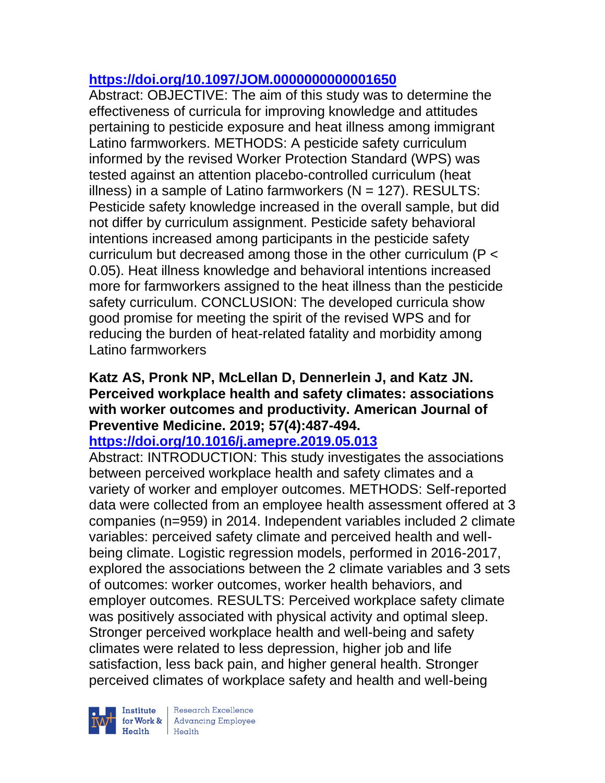# **<https://doi.org/10.1097/JOM.0000000000001650>**

Abstract: OBJECTIVE: The aim of this study was to determine the effectiveness of curricula for improving knowledge and attitudes pertaining to pesticide exposure and heat illness among immigrant Latino farmworkers. METHODS: A pesticide safety curriculum informed by the revised Worker Protection Standard (WPS) was tested against an attention placebo-controlled curriculum (heat illness) in a sample of Latino farmworkers ( $N = 127$ ). RESULTS: Pesticide safety knowledge increased in the overall sample, but did not differ by curriculum assignment. Pesticide safety behavioral intentions increased among participants in the pesticide safety curriculum but decreased among those in the other curriculum (P < 0.05). Heat illness knowledge and behavioral intentions increased more for farmworkers assigned to the heat illness than the pesticide safety curriculum. CONCLUSION: The developed curricula show good promise for meeting the spirit of the revised WPS and for reducing the burden of heat-related fatality and morbidity among Latino farmworkers

## **Katz AS, Pronk NP, McLellan D, Dennerlein J, and Katz JN. Perceived workplace health and safety climates: associations with worker outcomes and productivity. American Journal of Preventive Medicine. 2019; 57(4):487-494.**

## **<https://doi.org/10.1016/j.amepre.2019.05.013>**

Abstract: INTRODUCTION: This study investigates the associations between perceived workplace health and safety climates and a variety of worker and employer outcomes. METHODS: Self-reported data were collected from an employee health assessment offered at 3 companies (n=959) in 2014. Independent variables included 2 climate variables: perceived safety climate and perceived health and wellbeing climate. Logistic regression models, performed in 2016-2017, explored the associations between the 2 climate variables and 3 sets of outcomes: worker outcomes, worker health behaviors, and employer outcomes. RESULTS: Perceived workplace safety climate was positively associated with physical activity and optimal sleep. Stronger perceived workplace health and well-being and safety climates were related to less depression, higher job and life satisfaction, less back pain, and higher general health. Stronger perceived climates of workplace safety and health and well-being

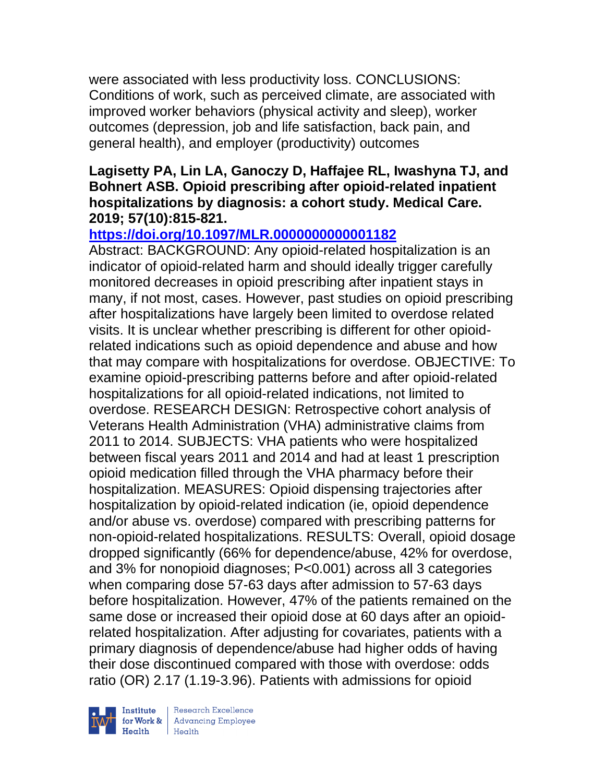were associated with less productivity loss. CONCLUSIONS: Conditions of work, such as perceived climate, are associated with improved worker behaviors (physical activity and sleep), worker outcomes (depression, job and life satisfaction, back pain, and general health), and employer (productivity) outcomes

#### **Lagisetty PA, Lin LA, Ganoczy D, Haffajee RL, Iwashyna TJ, and Bohnert ASB. Opioid prescribing after opioid-related inpatient hospitalizations by diagnosis: a cohort study. Medical Care. 2019; 57(10):815-821.**

## **<https://doi.org/10.1097/MLR.0000000000001182>**

Abstract: BACKGROUND: Any opioid-related hospitalization is an indicator of opioid-related harm and should ideally trigger carefully monitored decreases in opioid prescribing after inpatient stays in many, if not most, cases. However, past studies on opioid prescribing after hospitalizations have largely been limited to overdose related visits. It is unclear whether prescribing is different for other opioidrelated indications such as opioid dependence and abuse and how that may compare with hospitalizations for overdose. OBJECTIVE: To examine opioid-prescribing patterns before and after opioid-related hospitalizations for all opioid-related indications, not limited to overdose. RESEARCH DESIGN: Retrospective cohort analysis of Veterans Health Administration (VHA) administrative claims from 2011 to 2014. SUBJECTS: VHA patients who were hospitalized between fiscal years 2011 and 2014 and had at least 1 prescription opioid medication filled through the VHA pharmacy before their hospitalization. MEASURES: Opioid dispensing trajectories after hospitalization by opioid-related indication (ie, opioid dependence and/or abuse vs. overdose) compared with prescribing patterns for non-opioid-related hospitalizations. RESULTS: Overall, opioid dosage dropped significantly (66% for dependence/abuse, 42% for overdose, and 3% for nonopioid diagnoses; P<0.001) across all 3 categories when comparing dose 57-63 days after admission to 57-63 days before hospitalization. However, 47% of the patients remained on the same dose or increased their opioid dose at 60 days after an opioidrelated hospitalization. After adjusting for covariates, patients with a primary diagnosis of dependence/abuse had higher odds of having their dose discontinued compared with those with overdose: odds ratio (OR) 2.17 (1.19-3.96). Patients with admissions for opioid



| Research Excellence for Work & Advancing Employee<br>Health Health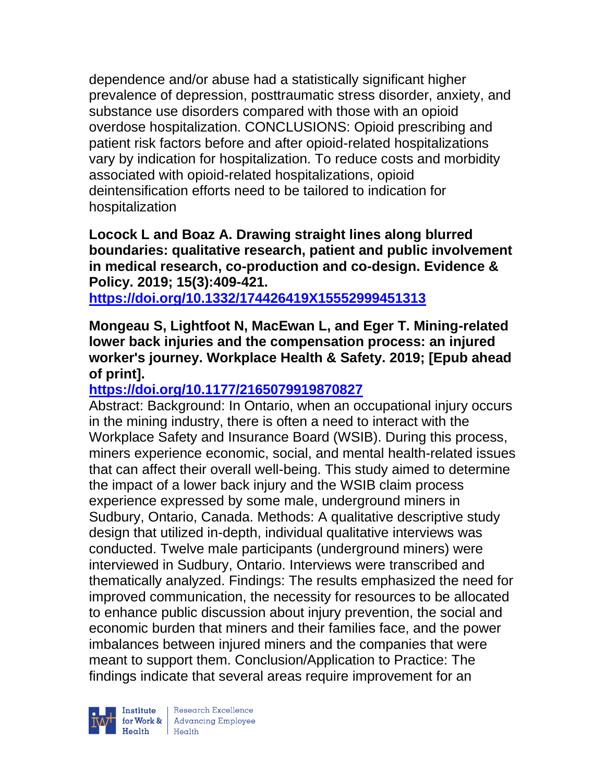dependence and/or abuse had a statistically significant higher prevalence of depression, posttraumatic stress disorder, anxiety, and substance use disorders compared with those with an opioid overdose hospitalization. CONCLUSIONS: Opioid prescribing and patient risk factors before and after opioid-related hospitalizations vary by indication for hospitalization. To reduce costs and morbidity associated with opioid-related hospitalizations, opioid deintensification efforts need to be tailored to indication for hospitalization

**Locock L and Boaz A. Drawing straight lines along blurred boundaries: qualitative research, patient and public involvement in medical research, co-production and co-design. Evidence & Policy. 2019; 15(3):409-421.** 

**<https://doi.org/10.1332/174426419X15552999451313>** 

**Mongeau S, Lightfoot N, MacEwan L, and Eger T. Mining-related lower back injuries and the compensation process: an injured worker's journey. Workplace Health & Safety. 2019; [Epub ahead of print].**

## **<https://doi.org/10.1177/2165079919870827>**

Abstract: Background: In Ontario, when an occupational injury occurs in the mining industry, there is often a need to interact with the Workplace Safety and Insurance Board (WSIB). During this process, miners experience economic, social, and mental health-related issues that can affect their overall well-being. This study aimed to determine the impact of a lower back injury and the WSIB claim process experience expressed by some male, underground miners in Sudbury, Ontario, Canada. Methods: A qualitative descriptive study design that utilized in-depth, individual qualitative interviews was conducted. Twelve male participants (underground miners) were interviewed in Sudbury, Ontario. Interviews were transcribed and thematically analyzed. Findings: The results emphasized the need for improved communication, the necessity for resources to be allocated to enhance public discussion about injury prevention, the social and economic burden that miners and their families face, and the power imbalances between injured miners and the companies that were meant to support them. Conclusion/Application to Practice: The findings indicate that several areas require improvement for an



| Research Excellence Finantium Research Excellence<br>
Finantium Research Employee<br>
Realth Health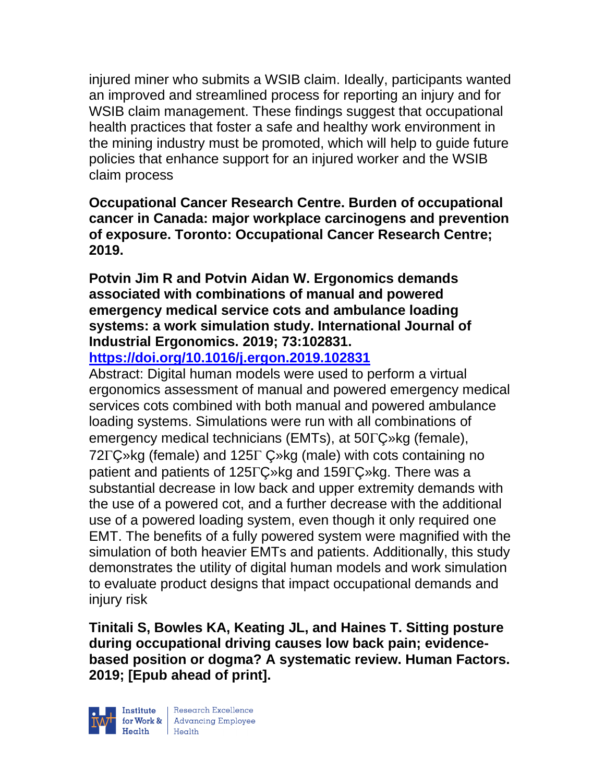injured miner who submits a WSIB claim. Ideally, participants wanted an improved and streamlined process for reporting an injury and for WSIB claim management. These findings suggest that occupational health practices that foster a safe and healthy work environment in the mining industry must be promoted, which will help to guide future policies that enhance support for an injured worker and the WSIB claim process

**Occupational Cancer Research Centre. Burden of occupational cancer in Canada: major workplace carcinogens and prevention of exposure. Toronto: Occupational Cancer Research Centre; 2019.** 

**Potvin Jim R and Potvin Aidan W. Ergonomics demands associated with combinations of manual and powered emergency medical service cots and ambulance loading systems: a work simulation study. International Journal of Industrial Ergonomics. 2019; 73:102831.**

**<https://doi.org/10.1016/j.ergon.2019.102831>** 

Abstract: Digital human models were used to perform a virtual ergonomics assessment of manual and powered emergency medical services cots combined with both manual and powered ambulance loading systems. Simulations were run with all combinations of emergency medical technicians (EMTs), at  $50\Gamma\text{C}_{\ell}$ <sup>kg</sup> (female), 72 $\Gamma$ C»kg (female) and 125 $\Gamma$  C»kg (male) with cots containing no patient and patients of 125 $\Gamma$ C »kg and 159 $\Gamma$ C »kg. There was a substantial decrease in low back and upper extremity demands with the use of a powered cot, and a further decrease with the additional use of a powered loading system, even though it only required one EMT. The benefits of a fully powered system were magnified with the simulation of both heavier EMTs and patients. Additionally, this study demonstrates the utility of digital human models and work simulation to evaluate product designs that impact occupational demands and injury risk

**Tinitali S, Bowles KA, Keating JL, and Haines T. Sitting posture during occupational driving causes low back pain; evidencebased position or dogma? A systematic review. Human Factors. 2019; [Epub ahead of print].**



Research Excellence for Work & Advancing Employee<br>Health Health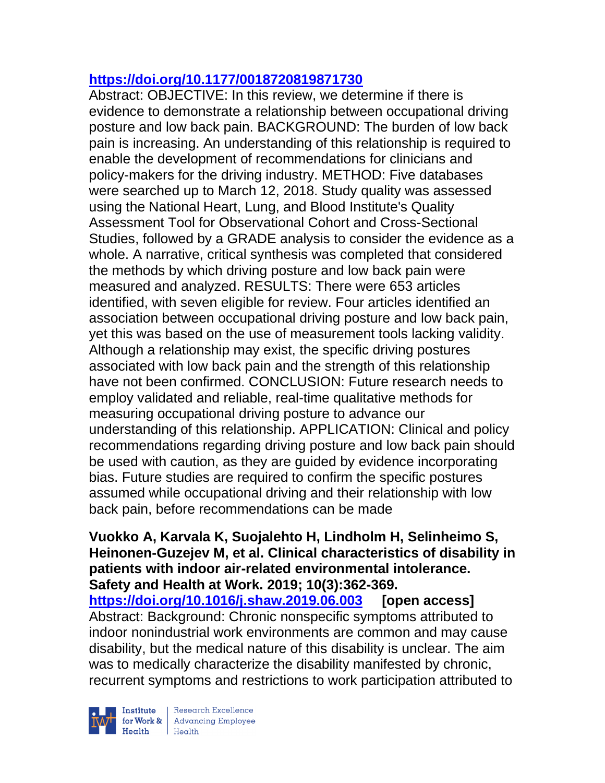## **<https://doi.org/10.1177/0018720819871730>**

Abstract: OBJECTIVE: In this review, we determine if there is evidence to demonstrate a relationship between occupational driving posture and low back pain. BACKGROUND: The burden of low back pain is increasing. An understanding of this relationship is required to enable the development of recommendations for clinicians and policy-makers for the driving industry. METHOD: Five databases were searched up to March 12, 2018. Study quality was assessed using the National Heart, Lung, and Blood Institute's Quality Assessment Tool for Observational Cohort and Cross-Sectional Studies, followed by a GRADE analysis to consider the evidence as a whole. A narrative, critical synthesis was completed that considered the methods by which driving posture and low back pain were measured and analyzed. RESULTS: There were 653 articles identified, with seven eligible for review. Four articles identified an association between occupational driving posture and low back pain, yet this was based on the use of measurement tools lacking validity. Although a relationship may exist, the specific driving postures associated with low back pain and the strength of this relationship have not been confirmed. CONCLUSION: Future research needs to employ validated and reliable, real-time qualitative methods for measuring occupational driving posture to advance our understanding of this relationship. APPLICATION: Clinical and policy recommendations regarding driving posture and low back pain should be used with caution, as they are guided by evidence incorporating bias. Future studies are required to confirm the specific postures assumed while occupational driving and their relationship with low back pain, before recommendations can be made

**Vuokko A, Karvala K, Suojalehto H, Lindholm H, Selinheimo S, Heinonen-Guzejev M, et al. Clinical characteristics of disability in patients with indoor air-related environmental intolerance. Safety and Health at Work. 2019; 10(3):362-369. <https://doi.org/10.1016/j.shaw.2019.06.003> [open access]** Abstract: Background: Chronic nonspecific symptoms attributed to indoor nonindustrial work environments are common and may cause disability, but the medical nature of this disability is unclear. The aim was to medically characterize the disability manifested by chronic, recurrent symptoms and restrictions to work participation attributed to